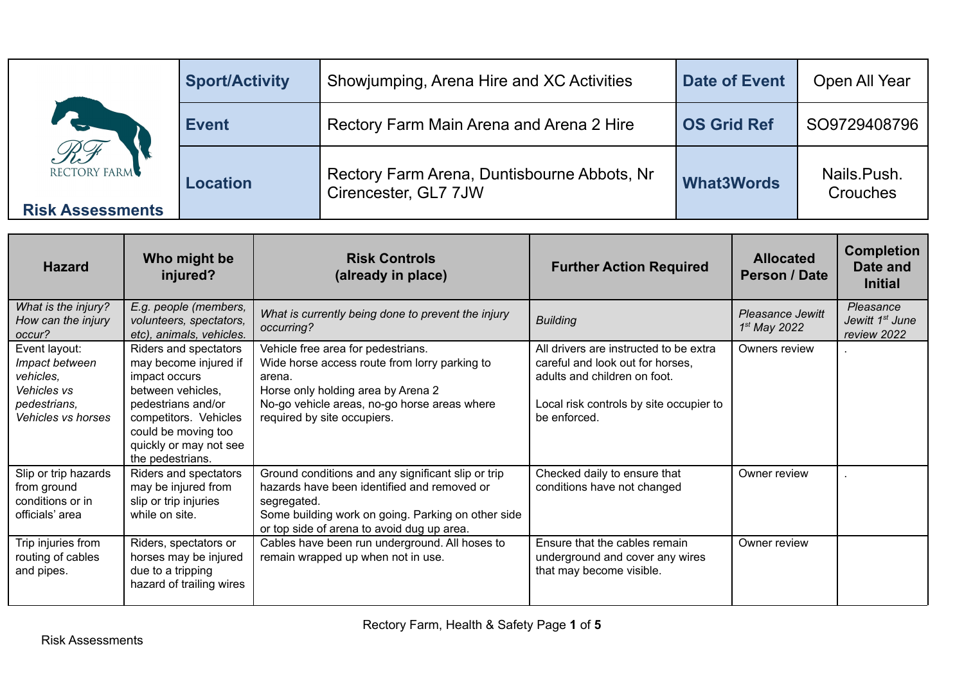|                                         | <b>Sport/Activity</b> | Showjumping, Arena Hire and XC Activities                           | <b>Date of Event</b> | Open All Year           |
|-----------------------------------------|-----------------------|---------------------------------------------------------------------|----------------------|-------------------------|
| RF                                      | <b>Event</b>          | Rectory Farm Main Arena and Arena 2 Hire                            | <b>OS Grid Ref</b>   | SO9729408796            |
| RECTORY FARM<br><b>Risk Assessments</b> | <b>Location</b>       | Rectory Farm Arena, Duntisbourne Abbots, Nr<br>Cirencester, GL7 7JW | <b>What3Words</b>    | Nails.Push.<br>Crouches |

| <b>Hazard</b>                                                                                     | Who might be<br>injured?                                                                                                                                                                                 | <b>Risk Controls</b><br>(already in place)                                                                                                                                                                           | <b>Further Action Required</b>                                                                                                                                        | <b>Allocated</b><br>Person / Date  | <b>Completion</b><br>Date and<br><b>Initial</b>         |
|---------------------------------------------------------------------------------------------------|----------------------------------------------------------------------------------------------------------------------------------------------------------------------------------------------------------|----------------------------------------------------------------------------------------------------------------------------------------------------------------------------------------------------------------------|-----------------------------------------------------------------------------------------------------------------------------------------------------------------------|------------------------------------|---------------------------------------------------------|
| What is the injury?<br>How can the injury<br>occur?                                               | E.g. people (members,<br>volunteers, spectators,<br>etc), animals, vehicles.                                                                                                                             | What is currently being done to prevent the injury<br>occurring?                                                                                                                                                     | <b>Building</b>                                                                                                                                                       | Pleasance Jewitt<br>$1st$ May 2022 | Pleasance<br>Jewitt 1 <sup>st</sup> June<br>review 2022 |
| Event layout:<br>Impact between<br>vehicles,<br>Vehicles vs<br>pedestrians,<br>Vehicles vs horses | Riders and spectators<br>may become injured if<br>impact occurs<br>between vehicles,<br>pedestrians and/or<br>competitors. Vehicles<br>could be moving too<br>quickly or may not see<br>the pedestrians. | Vehicle free area for pedestrians.<br>Wide horse access route from lorry parking to<br>arena.<br>Horse only holding area by Arena 2<br>No-go vehicle areas, no-go horse areas where<br>required by site occupiers.   | All drivers are instructed to be extra<br>careful and look out for horses,<br>adults and children on foot.<br>Local risk controls by site occupier to<br>be enforced. | Owners review                      |                                                         |
| Slip or trip hazards<br>from ground<br>conditions or in<br>officials' area                        | Riders and spectators<br>may be injured from<br>slip or trip injuries<br>while on site.                                                                                                                  | Ground conditions and any significant slip or trip<br>hazards have been identified and removed or<br>segregated.<br>Some building work on going. Parking on other side<br>or top side of arena to avoid dug up area. | Checked daily to ensure that<br>conditions have not changed                                                                                                           | Owner review                       |                                                         |
| Trip injuries from<br>routing of cables<br>and pipes.                                             | Riders, spectators or<br>horses may be injured<br>due to a tripping<br>hazard of trailing wires                                                                                                          | Cables have been run underground. All hoses to<br>remain wrapped up when not in use.                                                                                                                                 | Ensure that the cables remain<br>underground and cover any wires<br>that may become visible.                                                                          | Owner review                       |                                                         |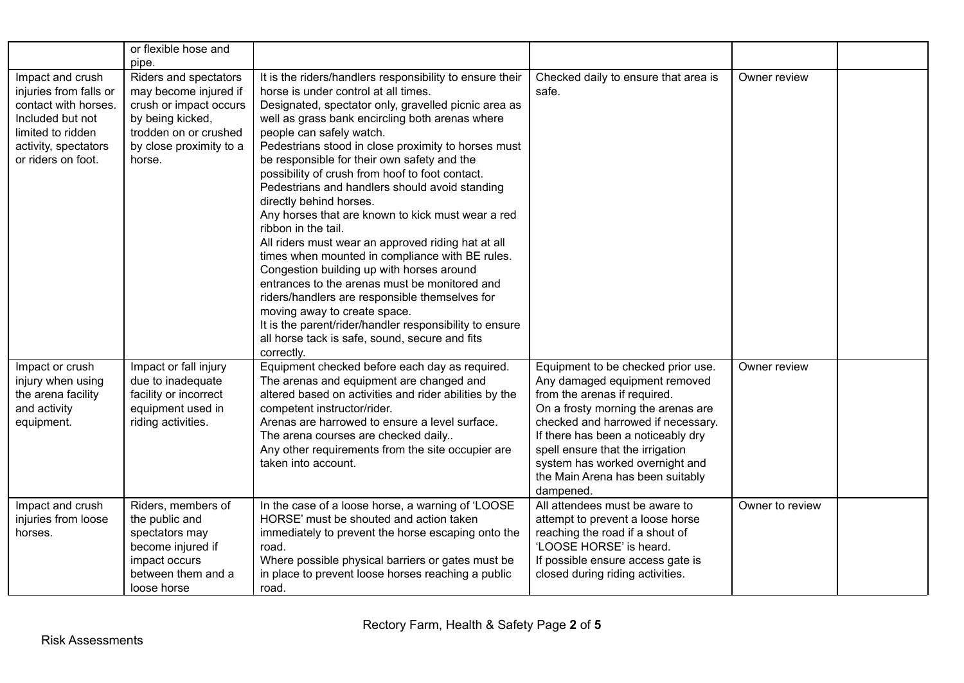|                                                                                                                                                           | or flexible hose and<br>pipe.                                                                                                                              |                                                                                                                                                                                                                                                                                                                                                                                                                                                                                                                                                                                                                                                                                                                                                                                                                                                                                                                                                                               |                                                                                                                                                                                                                                                                                                                                               |                 |  |
|-----------------------------------------------------------------------------------------------------------------------------------------------------------|------------------------------------------------------------------------------------------------------------------------------------------------------------|-------------------------------------------------------------------------------------------------------------------------------------------------------------------------------------------------------------------------------------------------------------------------------------------------------------------------------------------------------------------------------------------------------------------------------------------------------------------------------------------------------------------------------------------------------------------------------------------------------------------------------------------------------------------------------------------------------------------------------------------------------------------------------------------------------------------------------------------------------------------------------------------------------------------------------------------------------------------------------|-----------------------------------------------------------------------------------------------------------------------------------------------------------------------------------------------------------------------------------------------------------------------------------------------------------------------------------------------|-----------------|--|
| Impact and crush<br>injuries from falls or<br>contact with horses.<br>Included but not<br>limited to ridden<br>activity, spectators<br>or riders on foot. | Riders and spectators<br>may become injured if<br>crush or impact occurs<br>by being kicked,<br>trodden on or crushed<br>by close proximity to a<br>horse. | It is the riders/handlers responsibility to ensure their<br>horse is under control at all times.<br>Designated, spectator only, gravelled picnic area as<br>well as grass bank encircling both arenas where<br>people can safely watch.<br>Pedestrians stood in close proximity to horses must<br>be responsible for their own safety and the<br>possibility of crush from hoof to foot contact.<br>Pedestrians and handlers should avoid standing<br>directly behind horses.<br>Any horses that are known to kick must wear a red<br>ribbon in the tail.<br>All riders must wear an approved riding hat at all<br>times when mounted in compliance with BE rules.<br>Congestion building up with horses around<br>entrances to the arenas must be monitored and<br>riders/handlers are responsible themselves for<br>moving away to create space.<br>It is the parent/rider/handler responsibility to ensure<br>all horse tack is safe, sound, secure and fits<br>correctly. | Checked daily to ensure that area is<br>safe.                                                                                                                                                                                                                                                                                                 | Owner review    |  |
| Impact or crush<br>injury when using<br>the arena facility<br>and activity<br>equipment.                                                                  | Impact or fall injury<br>due to inadequate<br>facility or incorrect<br>equipment used in<br>riding activities.                                             | Equipment checked before each day as required.<br>The arenas and equipment are changed and<br>altered based on activities and rider abilities by the<br>competent instructor/rider.<br>Arenas are harrowed to ensure a level surface.<br>The arena courses are checked daily<br>Any other requirements from the site occupier are<br>taken into account.                                                                                                                                                                                                                                                                                                                                                                                                                                                                                                                                                                                                                      | Equipment to be checked prior use.<br>Any damaged equipment removed<br>from the arenas if required.<br>On a frosty morning the arenas are<br>checked and harrowed if necessary.<br>If there has been a noticeably dry<br>spell ensure that the irrigation<br>system has worked overnight and<br>the Main Arena has been suitably<br>dampened. | Owner review    |  |
| Impact and crush<br>injuries from loose<br>horses.                                                                                                        | Riders, members of<br>the public and<br>spectators may<br>become injured if<br>impact occurs<br>between them and a<br>loose horse                          | In the case of a loose horse, a warning of 'LOOSE<br>HORSE' must be shouted and action taken<br>immediately to prevent the horse escaping onto the<br>road.<br>Where possible physical barriers or gates must be<br>in place to prevent loose horses reaching a public<br>road.                                                                                                                                                                                                                                                                                                                                                                                                                                                                                                                                                                                                                                                                                               | All attendees must be aware to<br>attempt to prevent a loose horse<br>reaching the road if a shout of<br>'LOOSE HORSE' is heard.<br>If possible ensure access gate is<br>closed during riding activities.                                                                                                                                     | Owner to review |  |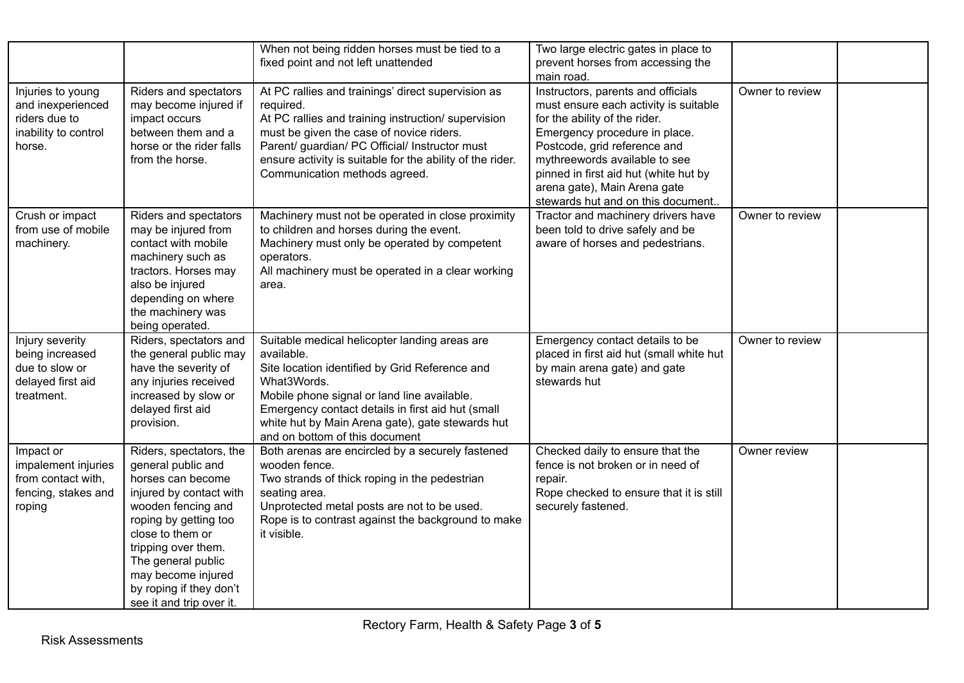|                                                                                           |                                                                                                                                                                                                                                                                                            | When not being ridden horses must be tied to a<br>fixed point and not left unattended                                                                                                                                                                                                                                  | Two large electric gates in place to<br>prevent horses from accessing the<br>main road.                                                                                                                                                                                                                                      |                 |  |
|-------------------------------------------------------------------------------------------|--------------------------------------------------------------------------------------------------------------------------------------------------------------------------------------------------------------------------------------------------------------------------------------------|------------------------------------------------------------------------------------------------------------------------------------------------------------------------------------------------------------------------------------------------------------------------------------------------------------------------|------------------------------------------------------------------------------------------------------------------------------------------------------------------------------------------------------------------------------------------------------------------------------------------------------------------------------|-----------------|--|
| Injuries to young<br>and inexperienced<br>riders due to<br>inability to control<br>horse. | Riders and spectators<br>may become injured if<br>impact occurs<br>between them and a<br>horse or the rider falls<br>from the horse.                                                                                                                                                       | At PC rallies and trainings' direct supervision as<br>required.<br>At PC rallies and training instruction/ supervision<br>must be given the case of novice riders.<br>Parent/ guardian/ PC Official/ Instructor must<br>ensure activity is suitable for the ability of the rider.<br>Communication methods agreed.     | Instructors, parents and officials<br>must ensure each activity is suitable<br>for the ability of the rider.<br>Emergency procedure in place.<br>Postcode, grid reference and<br>mythreewords available to see<br>pinned in first aid hut (white hut by<br>arena gate), Main Arena gate<br>stewards hut and on this document | Owner to review |  |
| Crush or impact<br>from use of mobile<br>machinery.                                       | Riders and spectators<br>may be injured from<br>contact with mobile<br>machinery such as<br>tractors. Horses may<br>also be injured<br>depending on where<br>the machinery was<br>being operated.                                                                                          | Machinery must not be operated in close proximity<br>to children and horses during the event.<br>Machinery must only be operated by competent<br>operators.<br>All machinery must be operated in a clear working<br>area.                                                                                              | Tractor and machinery drivers have<br>been told to drive safely and be<br>aware of horses and pedestrians.                                                                                                                                                                                                                   | Owner to review |  |
| Injury severity<br>being increased<br>due to slow or<br>delayed first aid<br>treatment.   | Riders, spectators and<br>the general public may<br>have the severity of<br>any injuries received<br>increased by slow or<br>delayed first aid<br>provision.                                                                                                                               | Suitable medical helicopter landing areas are<br>available.<br>Site location identified by Grid Reference and<br>What3Words.<br>Mobile phone signal or land line available.<br>Emergency contact details in first aid hut (small<br>white hut by Main Arena gate), gate stewards hut<br>and on bottom of this document | Emergency contact details to be<br>placed in first aid hut (small white hut<br>by main arena gate) and gate<br>stewards hut                                                                                                                                                                                                  | Owner to review |  |
| Impact or<br>impalement injuries<br>from contact with,<br>fencing, stakes and<br>roping   | Riders, spectators, the<br>general public and<br>horses can become<br>injured by contact with<br>wooden fencing and<br>roping by getting too<br>close to them or<br>tripping over them.<br>The general public<br>may become injured<br>by roping if they don't<br>see it and trip over it. | Both arenas are encircled by a securely fastened<br>wooden fence.<br>Two strands of thick roping in the pedestrian<br>seating area.<br>Unprotected metal posts are not to be used.<br>Rope is to contrast against the background to make<br>it visible.                                                                | Checked daily to ensure that the<br>fence is not broken or in need of<br>repair.<br>Rope checked to ensure that it is still<br>securely fastened.                                                                                                                                                                            | Owner review    |  |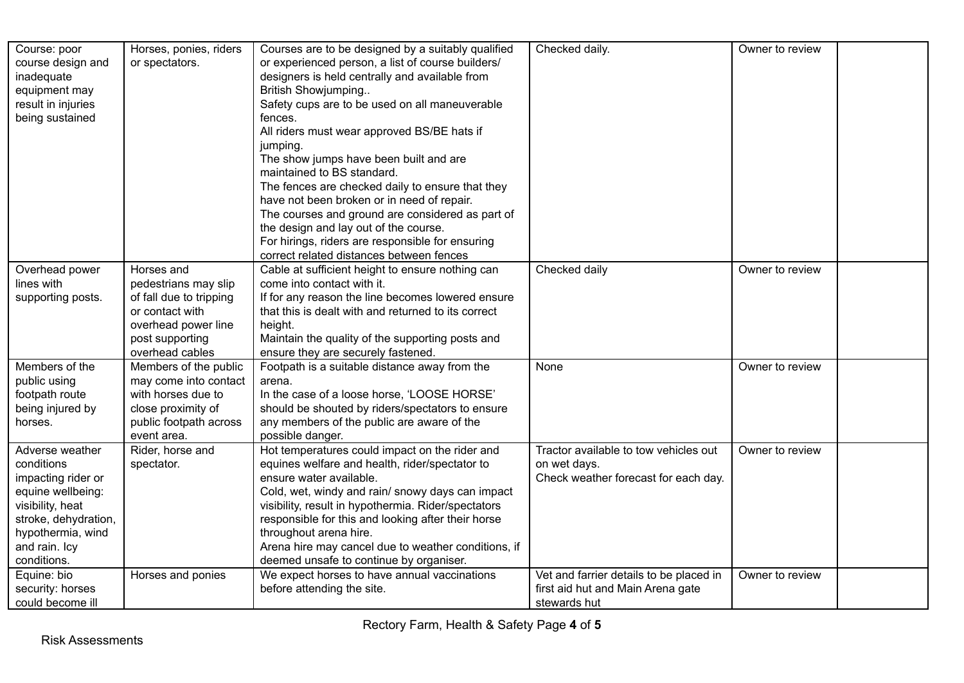| Course: poor<br>course design and<br>inadequate<br>equipment may<br>result in injuries                                                                                    | Horses, ponies, riders<br>or spectators.                                                                                                      | Courses are to be designed by a suitably qualified<br>or experienced person, a list of course builders/<br>designers is held centrally and available from<br>British Showjumping<br>Safety cups are to be used on all maneuverable                                                                                                                                                                                       | Checked daily.                                                                                | Owner to review |
|---------------------------------------------------------------------------------------------------------------------------------------------------------------------------|-----------------------------------------------------------------------------------------------------------------------------------------------|--------------------------------------------------------------------------------------------------------------------------------------------------------------------------------------------------------------------------------------------------------------------------------------------------------------------------------------------------------------------------------------------------------------------------|-----------------------------------------------------------------------------------------------|-----------------|
| being sustained                                                                                                                                                           |                                                                                                                                               | fences.<br>All riders must wear approved BS/BE hats if<br>jumping.<br>The show jumps have been built and are<br>maintained to BS standard.                                                                                                                                                                                                                                                                               |                                                                                               |                 |
|                                                                                                                                                                           |                                                                                                                                               | The fences are checked daily to ensure that they<br>have not been broken or in need of repair.<br>The courses and ground are considered as part of<br>the design and lay out of the course.<br>For hirings, riders are responsible for ensuring<br>correct related distances between fences                                                                                                                              |                                                                                               |                 |
| Overhead power<br>lines with<br>supporting posts.                                                                                                                         | Horses and<br>pedestrians may slip<br>of fall due to tripping<br>or contact with<br>overhead power line<br>post supporting<br>overhead cables | Cable at sufficient height to ensure nothing can<br>come into contact with it.<br>If for any reason the line becomes lowered ensure<br>that this is dealt with and returned to its correct<br>height.<br>Maintain the quality of the supporting posts and<br>ensure they are securely fastened.                                                                                                                          | Checked daily                                                                                 | Owner to review |
| Members of the<br>public using<br>footpath route<br>being injured by<br>horses.                                                                                           | Members of the public<br>may come into contact<br>with horses due to<br>close proximity of<br>public footpath across<br>event area.           | Footpath is a suitable distance away from the<br>arena.<br>In the case of a loose horse, 'LOOSE HORSE'<br>should be shouted by riders/spectators to ensure<br>any members of the public are aware of the<br>possible danger.                                                                                                                                                                                             | None                                                                                          | Owner to review |
| Adverse weather<br>conditions<br>impacting rider or<br>equine wellbeing:<br>visibility, heat<br>stroke, dehydration,<br>hypothermia, wind<br>and rain. Icy<br>conditions. | Rider, horse and<br>spectator.                                                                                                                | Hot temperatures could impact on the rider and<br>equines welfare and health, rider/spectator to<br>ensure water available.<br>Cold, wet, windy and rain/ snowy days can impact<br>visibility, result in hypothermia. Rider/spectators<br>responsible for this and looking after their horse<br>throughout arena hire.<br>Arena hire may cancel due to weather conditions, if<br>deemed unsafe to continue by organiser. | Tractor available to tow vehicles out<br>on wet days.<br>Check weather forecast for each day. | Owner to review |
| Equine: bio<br>security: horses<br>could become ill                                                                                                                       | Horses and ponies                                                                                                                             | We expect horses to have annual vaccinations<br>before attending the site.                                                                                                                                                                                                                                                                                                                                               | Vet and farrier details to be placed in<br>first aid hut and Main Arena gate<br>stewards hut  | Owner to review |